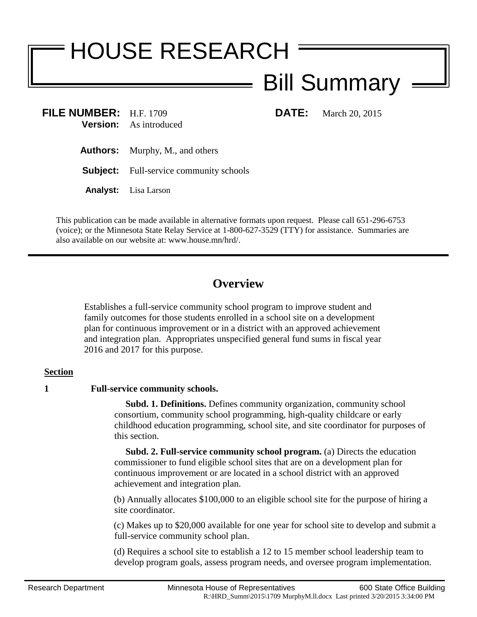# HOUSE RESEARCH

## Bill Summary

**FILE NUMBER:** H.F. 1709 **DATE:** March 20, 2015 **Version:** As introduced

- **Authors:** Murphy, M., and others
- **Subject:** Full-service community schools
- **Analyst:** Lisa Larson

This publication can be made available in alternative formats upon request. Please call 651-296-6753 (voice); or the Minnesota State Relay Service at 1-800-627-3529 (TTY) for assistance. Summaries are also available on our website at: www.house.mn/hrd/.

### **Overview**

Establishes a full-service community school program to improve student and family outcomes for those students enrolled in a school site on a development plan for continuous improvement or in a district with an approved achievement and integration plan. Appropriates unspecified general fund sums in fiscal year 2016 and 2017 for this purpose.

#### **Section**

#### **1 Full-service community schools.**

 **Subd. 1. Definitions.** Defines community organization, community school consortium, community school programming, high-quality childcare or early childhood education programming, school site, and site coordinator for purposes of this section.

 **Subd. 2. Full-service community school program.** (a) Directs the education commissioner to fund eligible school sites that are on a development plan for continuous improvement or are located in a school district with an approved achievement and integration plan.

(b) Annually allocates \$100,000 to an eligible school site for the purpose of hiring a site coordinator.

(c) Makes up to \$20,000 available for one year for school site to develop and submit a full-service community school plan.

(d) Requires a school site to establish a 12 to 15 member school leadership team to develop program goals, assess program needs, and oversee program implementation.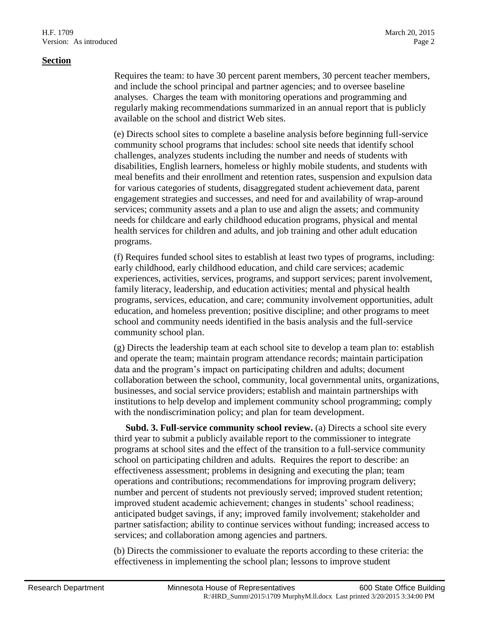Requires the team: to have 30 percent parent members, 30 percent teacher members, and include the school principal and partner agencies; and to oversee baseline analyses. Charges the team with monitoring operations and programming and regularly making recommendations summarized in an annual report that is publicly available on the school and district Web sites.

(e) Directs school sites to complete a baseline analysis before beginning full-service community school programs that includes: school site needs that identify school challenges, analyzes students including the number and needs of students with disabilities, English learners, homeless or highly mobile students, and students with meal benefits and their enrollment and retention rates, suspension and expulsion data for various categories of students, disaggregated student achievement data, parent engagement strategies and successes, and need for and availability of wrap-around services; community assets and a plan to use and align the assets; and community needs for childcare and early childhood education programs, physical and mental health services for children and adults, and job training and other adult education programs.

(f) Requires funded school sites to establish at least two types of programs, including: early childhood, early childhood education, and child care services; academic experiences, activities, services, programs, and support services; parent involvement, family literacy, leadership, and education activities; mental and physical health programs, services, education, and care; community involvement opportunities, adult education, and homeless prevention; positive discipline; and other programs to meet school and community needs identified in the basis analysis and the full-service community school plan.

(g) Directs the leadership team at each school site to develop a team plan to: establish and operate the team; maintain program attendance records; maintain participation data and the program's impact on participating children and adults; document collaboration between the school, community, local governmental units, organizations, businesses, and social service providers; establish and maintain partnerships with institutions to help develop and implement community school programming; comply with the nondiscrimination policy; and plan for team development.

 **Subd. 3. Full-service community school review.** (a) Directs a school site every third year to submit a publicly available report to the commissioner to integrate programs at school sites and the effect of the transition to a full-service community school on participating children and adults. Requires the report to describe: an effectiveness assessment; problems in designing and executing the plan; team operations and contributions; recommendations for improving program delivery; number and percent of students not previously served; improved student retention; improved student academic achievement; changes in students' school readiness; anticipated budget savings, if any; improved family involvement; stakeholder and partner satisfaction; ability to continue services without funding; increased access to services; and collaboration among agencies and partners.

(b) Directs the commissioner to evaluate the reports according to these criteria: the effectiveness in implementing the school plan; lessons to improve student